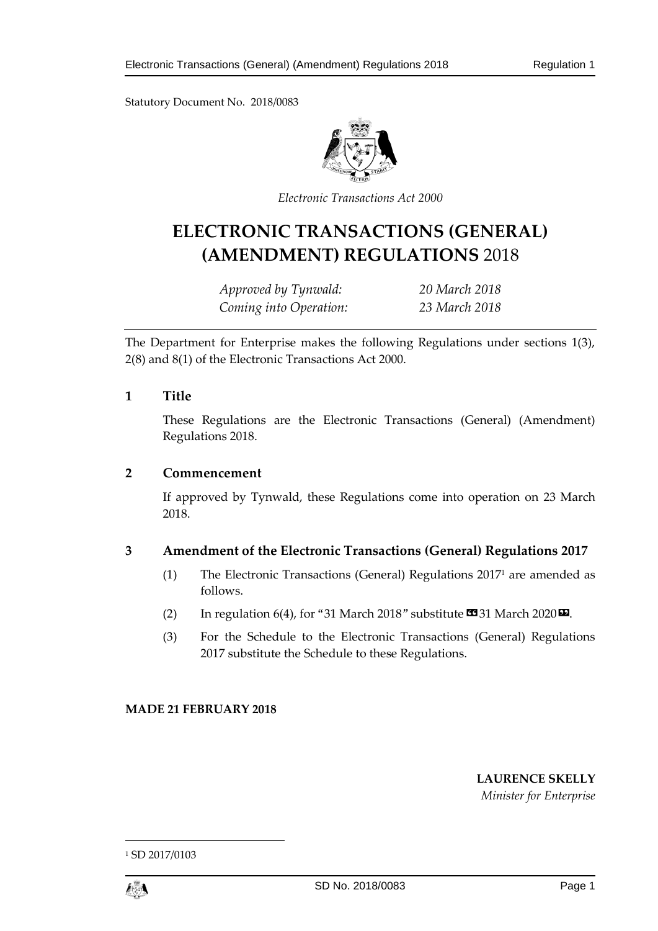Statutory Document No. 2018/0083



*Electronic Transactions Act 2000*

# **ELECTRONIC TRANSACTIONS (GENERAL) (AMENDMENT) REGULATIONS** 2018

*Approved by Tynwald: 20 March 2018 Coming into Operation: 23 March 2018*

The Department for Enterprise makes the following Regulations under sections 1(3), 2(8) and 8(1) of the Electronic Transactions Act 2000.

## **1 Title**

These Regulations are the Electronic Transactions (General) (Amendment) Regulations 2018.

## **2 Commencement**

If approved by Tynwald, these Regulations come into operation on 23 March 2018.

## **3 Amendment of the Electronic Transactions (General) Regulations 2017**

- (1) The Electronic Transactions (General) Regulations 2017<sup>1</sup> are amended as follows.
- (2) In regulation 6(4), for "31 March 2018" substitute  $\text{C3}31$  March 2020 $\text{D}$ .
- (3) For the Schedule to the Electronic Transactions (General) Regulations 2017 substitute the Schedule to these Regulations.

## **MADE 21 FEBRUARY 2018**

## **LAURENCE SKELLY**

*Minister for Enterprise*

<sup>1</sup> SD 2017/0103



1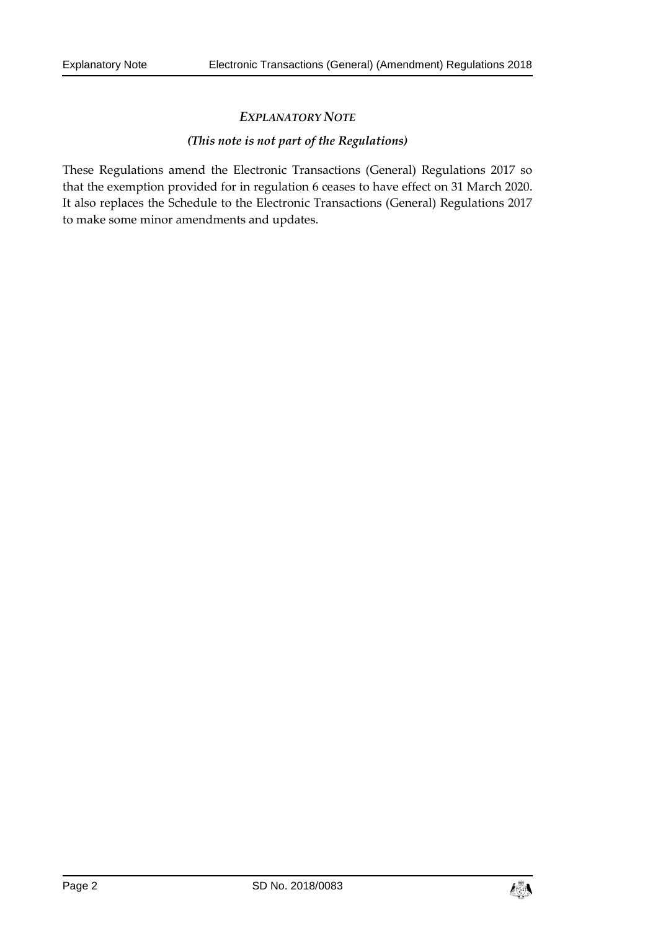## *EXPLANATORY NOTE*

## *(This note is not part of the Regulations)*

These Regulations amend the Electronic Transactions (General) Regulations 2017 so that the exemption provided for in regulation 6 ceases to have effect on 31 March 2020. It also replaces the Schedule to the Electronic Transactions (General) Regulations 2017 to make some minor amendments and updates.

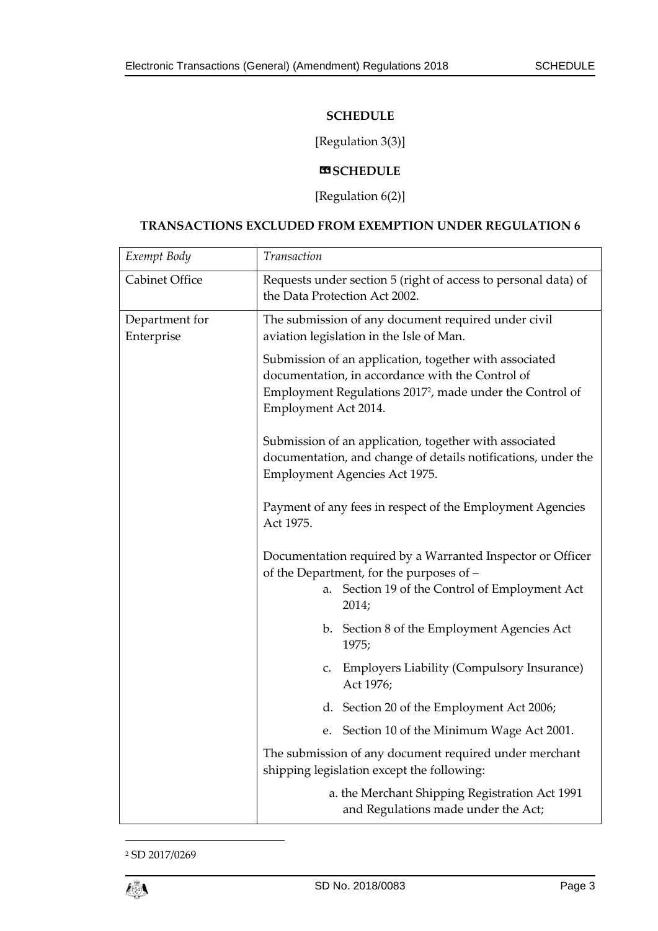## **SCHEDULE**

## [Regulation 3(3)]

## $**W**$ **SCHEDULE**

[Regulation 6(2)]

## **TRANSACTIONS EXCLUDED FROM EXEMPTION UNDER REGULATION 6**

| Exempt Body                  | Transaction                                                                                                                                                                                                |
|------------------------------|------------------------------------------------------------------------------------------------------------------------------------------------------------------------------------------------------------|
| Cabinet Office               | Requests under section 5 (right of access to personal data) of<br>the Data Protection Act 2002.                                                                                                            |
| Department for<br>Enterprise | The submission of any document required under civil<br>aviation legislation in the Isle of Man.                                                                                                            |
|                              | Submission of an application, together with associated<br>documentation, in accordance with the Control of<br>Employment Regulations 2017 <sup>2</sup> , made under the Control of<br>Employment Act 2014. |
|                              | Submission of an application, together with associated<br>documentation, and change of details notifications, under the<br>Employment Agencies Act 1975.                                                   |
|                              | Payment of any fees in respect of the Employment Agencies<br>Act 1975.                                                                                                                                     |
|                              | Documentation required by a Warranted Inspector or Officer<br>of the Department, for the purposes of -                                                                                                     |
|                              | Section 19 of the Control of Employment Act<br>a.<br>2014;                                                                                                                                                 |
|                              | b. Section 8 of the Employment Agencies Act<br>1975;                                                                                                                                                       |
|                              | <b>Employers Liability (Compulsory Insurance)</b><br>c.<br>Act 1976;                                                                                                                                       |
|                              | d. Section 20 of the Employment Act 2006;                                                                                                                                                                  |
|                              | Section 10 of the Minimum Wage Act 2001.<br>e.                                                                                                                                                             |
|                              | The submission of any document required under merchant<br>shipping legislation except the following:                                                                                                       |
|                              | a. the Merchant Shipping Registration Act 1991<br>and Regulations made under the Act;                                                                                                                      |

<sup>2</sup> SD 2017/0269

1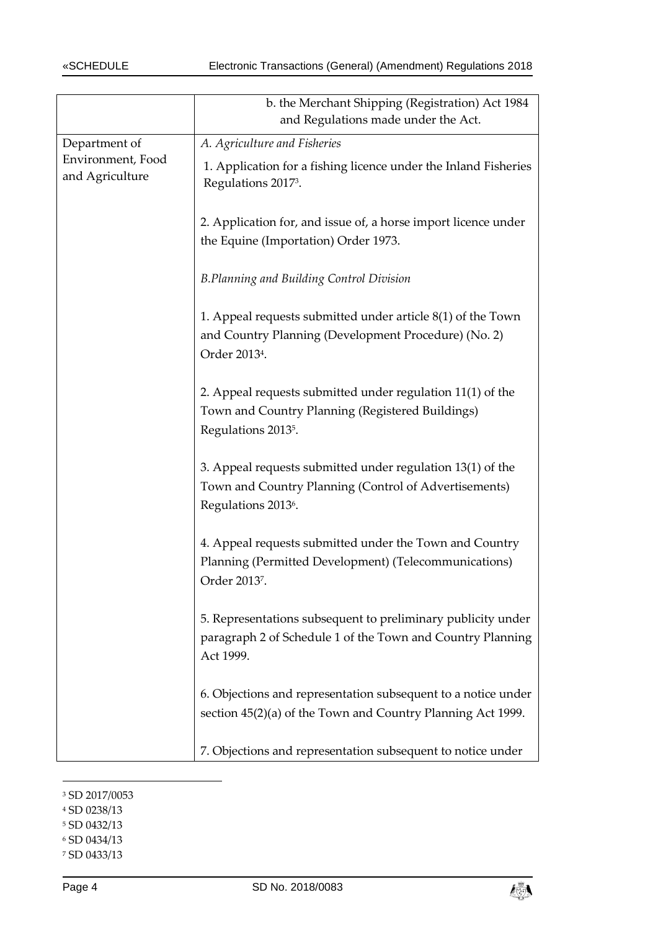|                                      | b. the Merchant Shipping (Registration) Act 1984<br>and Regulations made under the Act.                                                                |
|--------------------------------------|--------------------------------------------------------------------------------------------------------------------------------------------------------|
| Department of                        | A. Agriculture and Fisheries                                                                                                                           |
| Environment, Food<br>and Agriculture | 1. Application for a fishing licence under the Inland Fisheries<br>Regulations 2017 <sup>3</sup> .                                                     |
|                                      | 2. Application for, and issue of, a horse import licence under<br>the Equine (Importation) Order 1973.                                                 |
|                                      | <b>B.Planning and Building Control Division</b>                                                                                                        |
|                                      | 1. Appeal requests submitted under article 8(1) of the Town<br>and Country Planning (Development Procedure) (No. 2)<br>Order 2013 <sup>4</sup> .       |
|                                      | 2. Appeal requests submitted under regulation 11(1) of the<br>Town and Country Planning (Registered Buildings)<br>Regulations 2013 <sup>5</sup> .      |
|                                      | 3. Appeal requests submitted under regulation 13(1) of the<br>Town and Country Planning (Control of Advertisements)<br>Regulations 2013 <sup>6</sup> . |
|                                      | 4. Appeal requests submitted under the Town and Country<br>Planning (Permitted Development) (Telecommunications)<br>Order 2013 <sup>7</sup> .          |
|                                      | 5. Representations subsequent to preliminary publicity under<br>paragraph 2 of Schedule 1 of the Town and Country Planning<br>Act 1999.                |
|                                      | 6. Objections and representation subsequent to a notice under<br>section 45(2)(a) of the Town and Country Planning Act 1999.                           |
|                                      | 7. Objections and representation subsequent to notice under                                                                                            |

<sup>3</sup> SD 2017/0053

<sup>5</sup> SD 0432/13

-

- <sup>6</sup> SD 0434/13
- <sup>7</sup> SD 0433/13



<sup>4</sup> SD 0238/13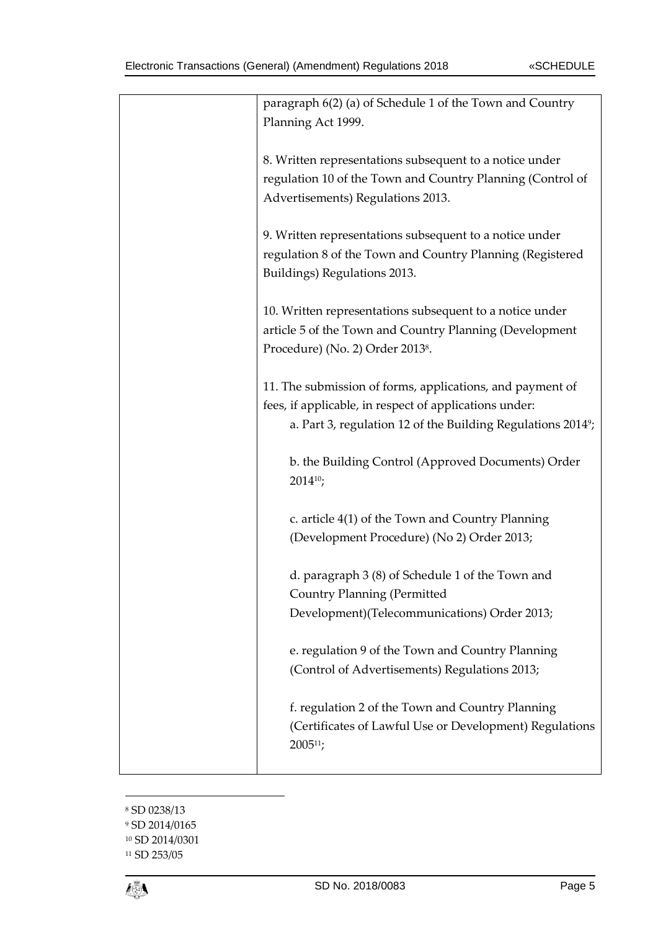| paragraph 6(2) (a) of Schedule 1 of the Town and Country<br>Planning Act 1999.<br>8. Written representations subsequent to a notice under<br>regulation 10 of the Town and Country Planning (Control of<br>Advertisements) Regulations 2013.<br>9. Written representations subsequent to a notice under<br>regulation 8 of the Town and Country Planning (Registered<br>Buildings) Regulations 2013.<br>10. Written representations subsequent to a notice under<br>article 5 of the Town and Country Planning (Development<br>Procedure) (No. 2) Order 2013 <sup>8</sup> .<br>11. The submission of forms, applications, and payment of<br>fees, if applicable, in respect of applications under:<br>a. Part 3, regulation 12 of the Building Regulations 2014 <sup>9</sup> ;<br>b. the Building Control (Approved Documents) Order<br>$2014^{10}$ ;<br>c. article 4(1) of the Town and Country Planning<br>(Development Procedure) (No 2) Order 2013;<br>d. paragraph 3 (8) of Schedule 1 of the Town and<br><b>Country Planning (Permitted</b><br>Development)(Telecommunications) Order 2013;<br>e. regulation 9 of the Town and Country Planning<br>(Control of Advertisements) Regulations 2013;<br>f. regulation 2 of the Town and Country Planning<br>(Certificates of Lawful Use or Development) Regulations<br>$2005^{11}$ ; |  |
|----------------------------------------------------------------------------------------------------------------------------------------------------------------------------------------------------------------------------------------------------------------------------------------------------------------------------------------------------------------------------------------------------------------------------------------------------------------------------------------------------------------------------------------------------------------------------------------------------------------------------------------------------------------------------------------------------------------------------------------------------------------------------------------------------------------------------------------------------------------------------------------------------------------------------------------------------------------------------------------------------------------------------------------------------------------------------------------------------------------------------------------------------------------------------------------------------------------------------------------------------------------------------------------------------------------------------------------|--|
|                                                                                                                                                                                                                                                                                                                                                                                                                                                                                                                                                                                                                                                                                                                                                                                                                                                                                                                                                                                                                                                                                                                                                                                                                                                                                                                                        |  |
|                                                                                                                                                                                                                                                                                                                                                                                                                                                                                                                                                                                                                                                                                                                                                                                                                                                                                                                                                                                                                                                                                                                                                                                                                                                                                                                                        |  |
|                                                                                                                                                                                                                                                                                                                                                                                                                                                                                                                                                                                                                                                                                                                                                                                                                                                                                                                                                                                                                                                                                                                                                                                                                                                                                                                                        |  |
|                                                                                                                                                                                                                                                                                                                                                                                                                                                                                                                                                                                                                                                                                                                                                                                                                                                                                                                                                                                                                                                                                                                                                                                                                                                                                                                                        |  |
|                                                                                                                                                                                                                                                                                                                                                                                                                                                                                                                                                                                                                                                                                                                                                                                                                                                                                                                                                                                                                                                                                                                                                                                                                                                                                                                                        |  |
|                                                                                                                                                                                                                                                                                                                                                                                                                                                                                                                                                                                                                                                                                                                                                                                                                                                                                                                                                                                                                                                                                                                                                                                                                                                                                                                                        |  |
|                                                                                                                                                                                                                                                                                                                                                                                                                                                                                                                                                                                                                                                                                                                                                                                                                                                                                                                                                                                                                                                                                                                                                                                                                                                                                                                                        |  |
|                                                                                                                                                                                                                                                                                                                                                                                                                                                                                                                                                                                                                                                                                                                                                                                                                                                                                                                                                                                                                                                                                                                                                                                                                                                                                                                                        |  |
|                                                                                                                                                                                                                                                                                                                                                                                                                                                                                                                                                                                                                                                                                                                                                                                                                                                                                                                                                                                                                                                                                                                                                                                                                                                                                                                                        |  |
|                                                                                                                                                                                                                                                                                                                                                                                                                                                                                                                                                                                                                                                                                                                                                                                                                                                                                                                                                                                                                                                                                                                                                                                                                                                                                                                                        |  |

<sup>8</sup> SD 0238/13

<sup>9</sup> SD 2014/0165

<sup>10</sup> SD 2014/0301

<sup>11</sup> SD 253/05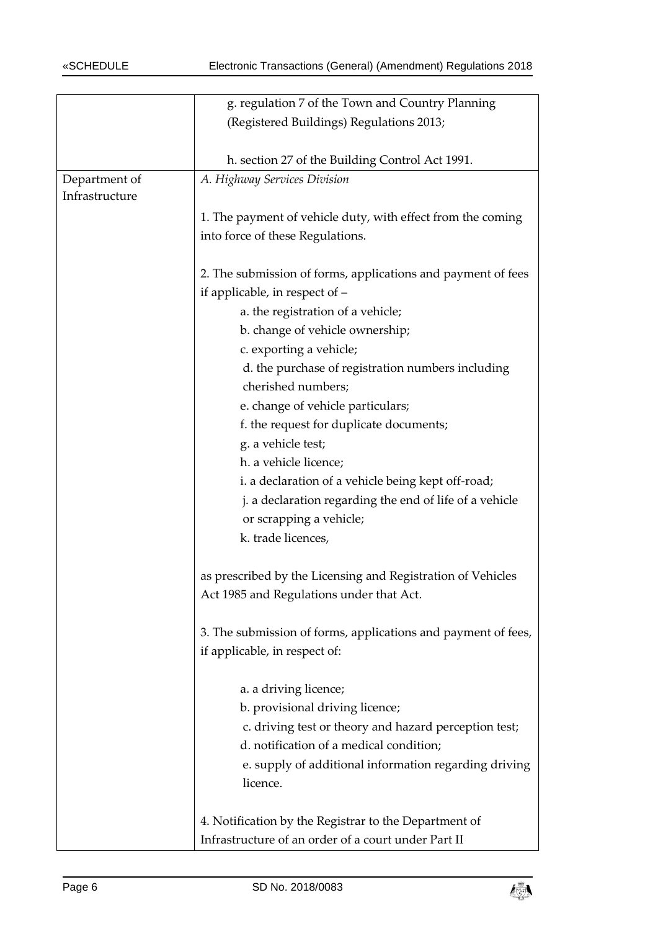|                | g. regulation 7 of the Town and Country Planning              |
|----------------|---------------------------------------------------------------|
|                | (Registered Buildings) Regulations 2013;                      |
|                |                                                               |
|                | h. section 27 of the Building Control Act 1991.               |
| Department of  | A. Highway Services Division                                  |
| Infrastructure |                                                               |
|                | 1. The payment of vehicle duty, with effect from the coming   |
|                | into force of these Regulations.                              |
|                |                                                               |
|                | 2. The submission of forms, applications and payment of fees  |
|                | if applicable, in respect of -                                |
|                | a. the registration of a vehicle;                             |
|                | b. change of vehicle ownership;                               |
|                | c. exporting a vehicle;                                       |
|                | d. the purchase of registration numbers including             |
|                | cherished numbers;                                            |
|                | e. change of vehicle particulars;                             |
|                | f. the request for duplicate documents;                       |
|                | g. a vehicle test;                                            |
|                | h. a vehicle licence;                                         |
|                | i. a declaration of a vehicle being kept off-road;            |
|                | j. a declaration regarding the end of life of a vehicle       |
|                | or scrapping a vehicle;                                       |
|                | k. trade licences,                                            |
|                |                                                               |
|                | as prescribed by the Licensing and Registration of Vehicles   |
|                | Act 1985 and Regulations under that Act.                      |
|                |                                                               |
|                | 3. The submission of forms, applications and payment of fees, |
|                | if applicable, in respect of:                                 |
|                |                                                               |
|                | a. a driving licence;                                         |
|                | b. provisional driving licence;                               |
|                | c. driving test or theory and hazard perception test;         |
|                | d. notification of a medical condition;                       |
|                | e. supply of additional information regarding driving         |
|                | licence.                                                      |
|                |                                                               |
|                | 4. Notification by the Registrar to the Department of         |
|                | Infrastructure of an order of a court under Part II           |

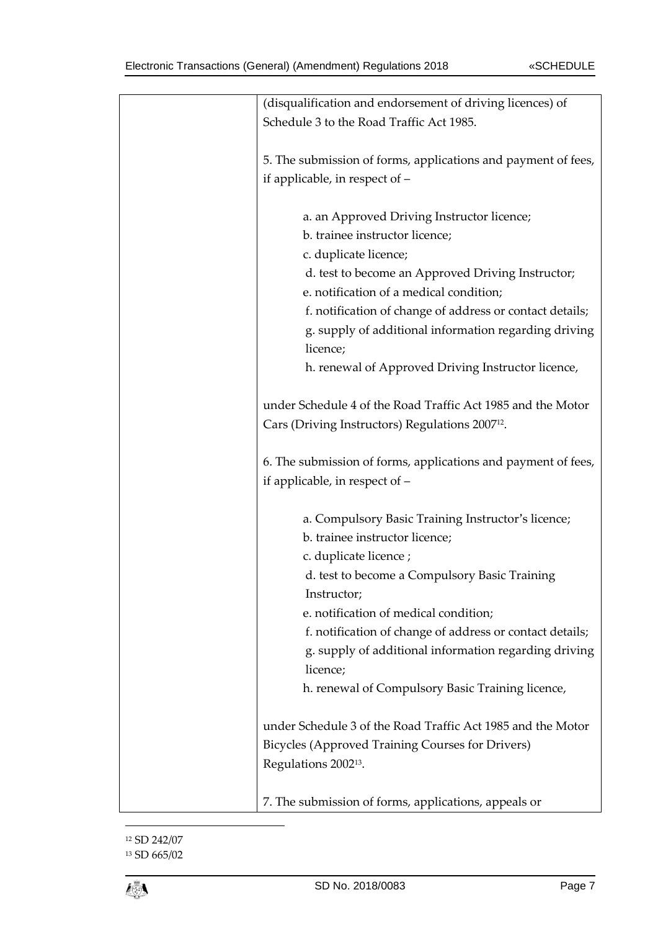| (disqualification and endorsement of driving licences) of     |
|---------------------------------------------------------------|
| Schedule 3 to the Road Traffic Act 1985.                      |
|                                                               |
| 5. The submission of forms, applications and payment of fees, |
| if applicable, in respect of -                                |
|                                                               |
| a. an Approved Driving Instructor licence;                    |
| b. trainee instructor licence;                                |
|                                                               |
| c. duplicate licence;                                         |
| d. test to become an Approved Driving Instructor;             |
| e. notification of a medical condition;                       |
| f. notification of change of address or contact details;      |
| g. supply of additional information regarding driving         |
| licence;                                                      |
| h. renewal of Approved Driving Instructor licence,            |
|                                                               |
| under Schedule 4 of the Road Traffic Act 1985 and the Motor   |
| Cars (Driving Instructors) Regulations 2007 <sup>12</sup> .   |
|                                                               |
| 6. The submission of forms, applications and payment of fees, |
| if applicable, in respect of -                                |
|                                                               |
| a. Compulsory Basic Training Instructor's licence;            |
| b. trainee instructor licence;                                |
|                                                               |
| c. duplicate licence;                                         |
| d. test to become a Compulsory Basic Training                 |
| Instructor;                                                   |
| e. notification of medical condition;                         |
| f. notification of change of address or contact details;      |
| g. supply of additional information regarding driving         |
| licence;                                                      |
| h. renewal of Compulsory Basic Training licence,              |
|                                                               |
| under Schedule 3 of the Road Traffic Act 1985 and the Motor   |
| Bicycles (Approved Training Courses for Drivers)              |
| Regulations 2002 <sup>13</sup> .                              |
|                                                               |
| 7. The submission of forms, applications, appeals or          |
|                                                               |

<sup>12</sup> SD 242/07 <sup>13</sup> SD 665/02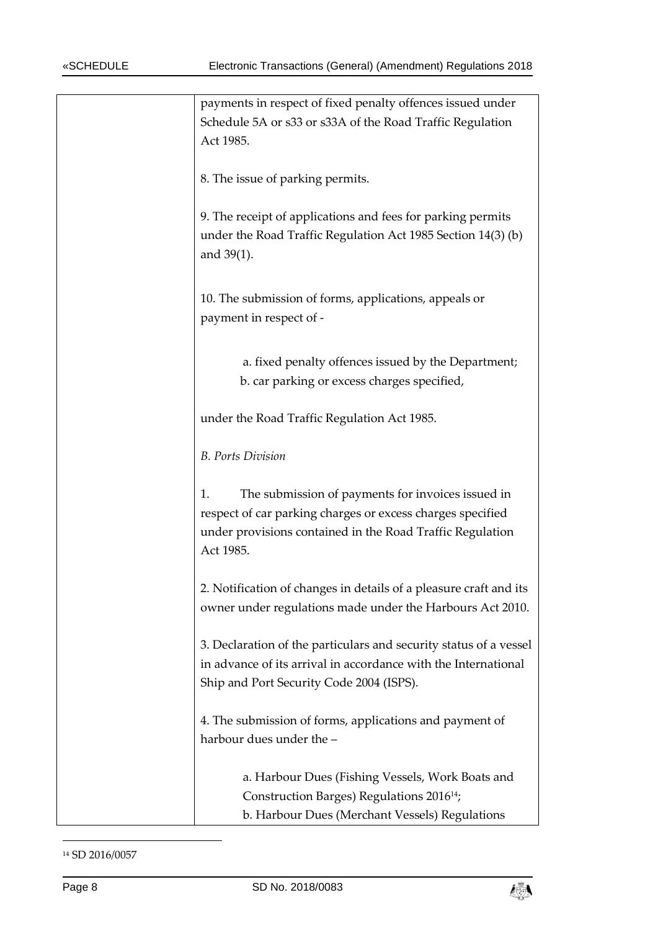| payments in respect of fixed penalty offences issued under<br>Schedule 5A or s33 or s33A of the Road Traffic Regulation<br>Act 1985.                                                            |
|-------------------------------------------------------------------------------------------------------------------------------------------------------------------------------------------------|
| 8. The issue of parking permits.                                                                                                                                                                |
| 9. The receipt of applications and fees for parking permits<br>under the Road Traffic Regulation Act 1985 Section 14(3) (b)<br>and $39(1)$ .                                                    |
| 10. The submission of forms, applications, appeals or<br>payment in respect of -                                                                                                                |
| a. fixed penalty offences issued by the Department;<br>b. car parking or excess charges specified,                                                                                              |
| under the Road Traffic Regulation Act 1985.                                                                                                                                                     |
| <b>B.</b> Ports Division                                                                                                                                                                        |
| The submission of payments for invoices issued in<br>1.<br>respect of car parking charges or excess charges specified<br>under provisions contained in the Road Traffic Regulation<br>Act 1985. |
| 2. Notification of changes in details of a pleasure craft and its<br>owner under regulations made under the Harbours Act 2010.                                                                  |
| 3. Declaration of the particulars and security status of a vessel<br>in advance of its arrival in accordance with the International<br>Ship and Port Security Code 2004 (ISPS).                 |
| 4. The submission of forms, applications and payment of<br>harbour dues under the -                                                                                                             |
| a. Harbour Dues (Fishing Vessels, Work Boats and<br>Construction Barges) Regulations 2016 <sup>14</sup> ;<br>b. Harbour Dues (Merchant Vessels) Regulations                                     |

-



<sup>14</sup> SD 2016/0057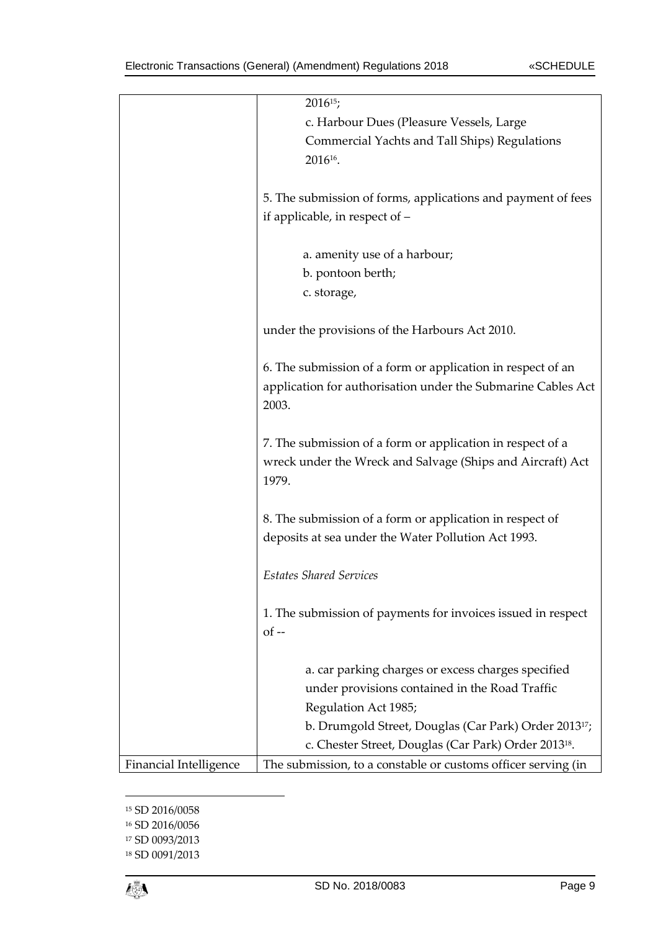|                        | $2016^{15}$ ;                                                     |
|------------------------|-------------------------------------------------------------------|
|                        | c. Harbour Dues (Pleasure Vessels, Large                          |
|                        | Commercial Yachts and Tall Ships) Regulations                     |
|                        | 2016 <sup>16</sup> .                                              |
|                        |                                                                   |
|                        | 5. The submission of forms, applications and payment of fees      |
|                        | if applicable, in respect of -                                    |
|                        |                                                                   |
|                        | a. amenity use of a harbour;                                      |
|                        | b. pontoon berth;                                                 |
|                        | c. storage,                                                       |
|                        |                                                                   |
|                        | under the provisions of the Harbours Act 2010.                    |
|                        |                                                                   |
|                        | 6. The submission of a form or application in respect of an       |
|                        | application for authorisation under the Submarine Cables Act      |
|                        | 2003.                                                             |
|                        |                                                                   |
|                        | 7. The submission of a form or application in respect of a        |
|                        | wreck under the Wreck and Salvage (Ships and Aircraft) Act        |
|                        | 1979.                                                             |
|                        |                                                                   |
|                        | 8. The submission of a form or application in respect of          |
|                        | deposits at sea under the Water Pollution Act 1993.               |
|                        |                                                                   |
|                        | <b>Estates Shared Services</b>                                    |
|                        |                                                                   |
|                        | 1. The submission of payments for invoices issued in respect      |
|                        | $of -$                                                            |
|                        |                                                                   |
|                        | a. car parking charges or excess charges specified                |
|                        | under provisions contained in the Road Traffic                    |
|                        | Regulation Act 1985;                                              |
|                        | b. Drumgold Street, Douglas (Car Park) Order 2013 <sup>17</sup> ; |
|                        | c. Chester Street, Douglas (Car Park) Order 2013 <sup>18</sup> .  |
|                        |                                                                   |
| Financial Intelligence | The submission, to a constable or customs officer serving (in     |

<sup>15</sup> SD 2016/0058

<sup>16</sup> SD 2016/0056

<sup>17</sup> SD 0093/2013

<sup>18</sup> SD 0091/2013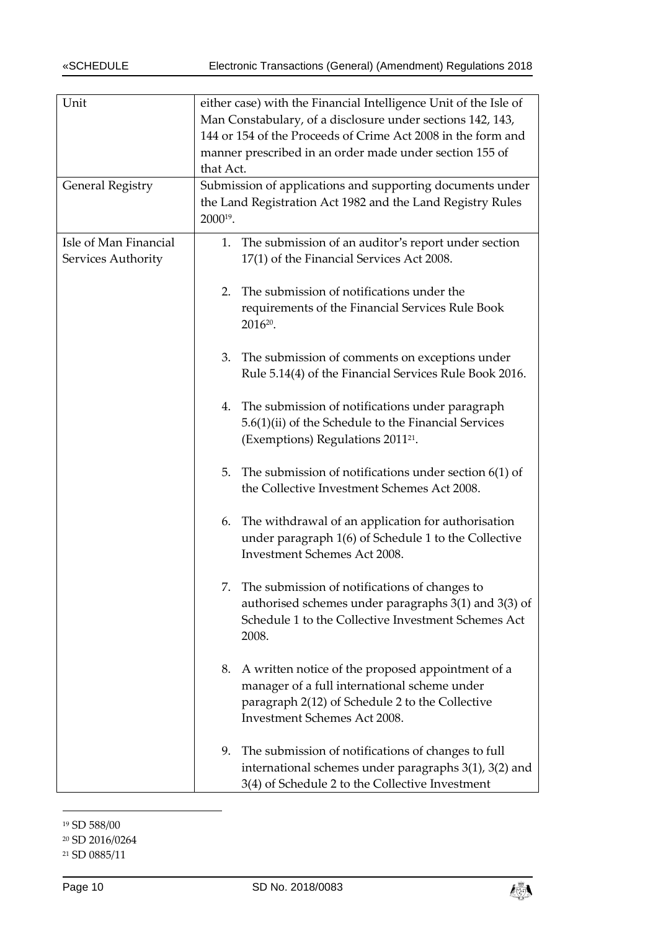| Unit                                        | either case) with the Financial Intelligence Unit of the Isle of<br>Man Constabulary, of a disclosure under sections 142, 143,<br>144 or 154 of the Proceeds of Crime Act 2008 in the form and<br>manner prescribed in an order made under section 155 of<br>that Act. |
|---------------------------------------------|------------------------------------------------------------------------------------------------------------------------------------------------------------------------------------------------------------------------------------------------------------------------|
| <b>General Registry</b>                     | Submission of applications and supporting documents under<br>the Land Registration Act 1982 and the Land Registry Rules<br>2000 <sup>19</sup> .                                                                                                                        |
| Isle of Man Financial<br>Services Authority | 1. The submission of an auditor's report under section<br>17(1) of the Financial Services Act 2008.                                                                                                                                                                    |
|                                             | The submission of notifications under the<br>2.<br>requirements of the Financial Services Rule Book<br>2016 <sup>20</sup> .                                                                                                                                            |
|                                             | The submission of comments on exceptions under<br>3.<br>Rule 5.14(4) of the Financial Services Rule Book 2016.                                                                                                                                                         |
|                                             | 4. The submission of notifications under paragraph<br>5.6(1)(ii) of the Schedule to the Financial Services<br>(Exemptions) Regulations 2011 <sup>21</sup> .                                                                                                            |
|                                             | The submission of notifications under section $6(1)$ of<br>5.<br>the Collective Investment Schemes Act 2008.                                                                                                                                                           |
|                                             | The withdrawal of an application for authorisation<br>6.<br>under paragraph 1(6) of Schedule 1 to the Collective<br><b>Investment Schemes Act 2008.</b>                                                                                                                |
|                                             | The submission of notifications of changes to<br>authorised schemes under paragraphs 3(1) and 3(3) of<br>Schedule 1 to the Collective Investment Schemes Act<br>2008.                                                                                                  |
|                                             | A written notice of the proposed appointment of a<br>8.<br>manager of a full international scheme under<br>paragraph 2(12) of Schedule 2 to the Collective<br>Investment Schemes Act 2008.                                                                             |
|                                             | The submission of notifications of changes to full<br>9.<br>international schemes under paragraphs 3(1), 3(2) and<br>3(4) of Schedule 2 to the Collective Investment                                                                                                   |

<sup>19</sup> SD 588/00

-

<sup>20</sup> SD 2016/0264



<sup>21</sup> SD 0885/11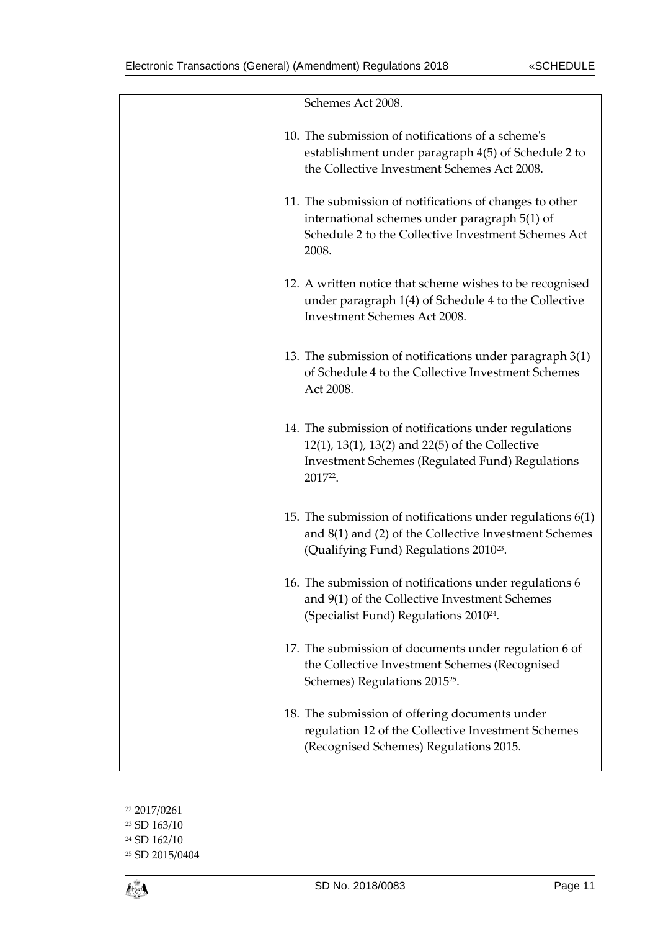| Schemes Act 2008.                                                                                                                                                             |
|-------------------------------------------------------------------------------------------------------------------------------------------------------------------------------|
| 10. The submission of notifications of a scheme's<br>establishment under paragraph 4(5) of Schedule 2 to<br>the Collective Investment Schemes Act 2008.                       |
| 11. The submission of notifications of changes to other<br>international schemes under paragraph 5(1) of<br>Schedule 2 to the Collective Investment Schemes Act<br>2008.      |
| 12. A written notice that scheme wishes to be recognised<br>under paragraph 1(4) of Schedule 4 to the Collective<br>Investment Schemes Act 2008.                              |
| 13. The submission of notifications under paragraph 3(1)<br>of Schedule 4 to the Collective Investment Schemes<br>Act 2008.                                                   |
| 14. The submission of notifications under regulations<br>12(1), 13(1), 13(2) and 22(5) of the Collective<br><b>Investment Schemes (Regulated Fund) Regulations</b><br>201722. |
| 15. The submission of notifications under regulations $6(1)$<br>and 8(1) and (2) of the Collective Investment Schemes<br>(Qualifying Fund) Regulations 2010 <sup>23</sup> .   |
| 16. The submission of notifications under regulations 6<br>and 9(1) of the Collective Investment Schemes<br>(Specialist Fund) Regulations 2010 <sup>24</sup> .                |
| 17. The submission of documents under regulation 6 of<br>the Collective Investment Schemes (Recognised<br>Schemes) Regulations 2015 <sup>25</sup> .                           |
| 18. The submission of offering documents under<br>regulation 12 of the Collective Investment Schemes<br>(Recognised Schemes) Regulations 2015.                                |

 2017/0261 SD 163/10 SD 162/10 SD 2015/0404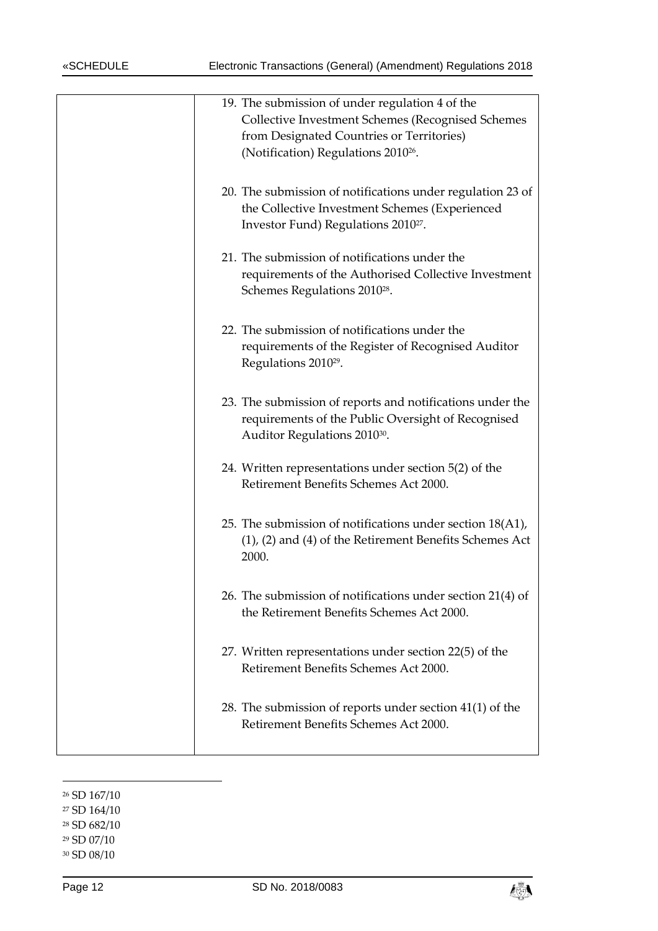| 19. The submission of under regulation 4 of the<br>Collective Investment Schemes (Recognised Schemes<br>from Designated Countries or Territories)<br>(Notification) Regulations 2010 <sup>26</sup> . |
|------------------------------------------------------------------------------------------------------------------------------------------------------------------------------------------------------|
| 20. The submission of notifications under regulation 23 of<br>the Collective Investment Schemes (Experienced<br>Investor Fund) Regulations 2010 <sup>27</sup> .                                      |
| 21. The submission of notifications under the<br>requirements of the Authorised Collective Investment<br>Schemes Regulations 2010 <sup>28</sup> .                                                    |
| 22. The submission of notifications under the<br>requirements of the Register of Recognised Auditor<br>Regulations 2010 <sup>29</sup> .                                                              |
| 23. The submission of reports and notifications under the<br>requirements of the Public Oversight of Recognised<br>Auditor Regulations 2010 <sup>30</sup> .                                          |
| 24. Written representations under section 5(2) of the<br>Retirement Benefits Schemes Act 2000.                                                                                                       |
| 25. The submission of notifications under section 18(A1),<br>$(1)$ , $(2)$ and $(4)$ of the Retirement Benefits Schemes Act<br>2000.                                                                 |
| 26. The submission of notifications under section 21(4) of<br>the Retirement Benefits Schemes Act 2000.                                                                                              |
| 27. Written representations under section 22(5) of the<br>Retirement Benefits Schemes Act 2000.                                                                                                      |
| 28. The submission of reports under section 41(1) of the<br>Retirement Benefits Schemes Act 2000.                                                                                                    |
|                                                                                                                                                                                                      |

<sup>26</sup> SD 167/10

-

<sup>27</sup> SD 164/10

<sup>28</sup> SD 682/10

<sup>29</sup> SD 07/10

<sup>30</sup> SD 08/10

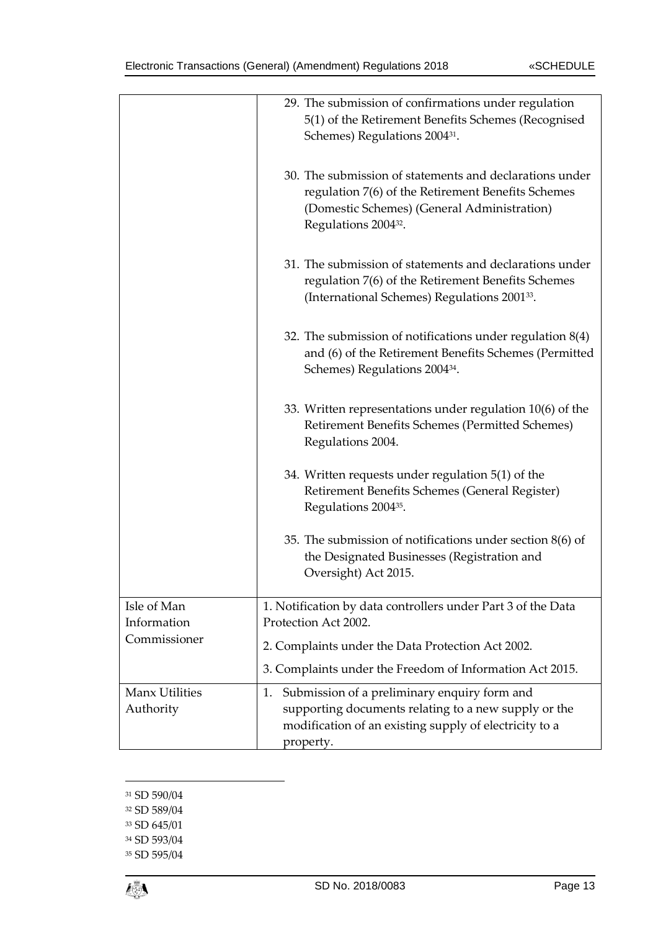|                             | 29. The submission of confirmations under regulation<br>5(1) of the Retirement Benefits Schemes (Recognised<br>Schemes) Regulations 2004 <sup>31</sup> .                                         |
|-----------------------------|--------------------------------------------------------------------------------------------------------------------------------------------------------------------------------------------------|
|                             | 30. The submission of statements and declarations under<br>regulation 7(6) of the Retirement Benefits Schemes<br>(Domestic Schemes) (General Administration)<br>Regulations 2004 <sup>32</sup> . |
|                             | 31. The submission of statements and declarations under<br>regulation 7(6) of the Retirement Benefits Schemes<br>(International Schemes) Regulations 2001 <sup>33</sup> .                        |
|                             | 32. The submission of notifications under regulation $8(4)$<br>and (6) of the Retirement Benefits Schemes (Permitted<br>Schemes) Regulations 2004 <sup>34</sup> .                                |
|                             | 33. Written representations under regulation 10(6) of the<br>Retirement Benefits Schemes (Permitted Schemes)<br>Regulations 2004.                                                                |
|                             | 34. Written requests under regulation 5(1) of the<br>Retirement Benefits Schemes (General Register)<br>Regulations 2004 <sup>35</sup> .                                                          |
|                             | 35. The submission of notifications under section $8(6)$ of<br>the Designated Businesses (Registration and<br>Oversight) Act 2015.                                                               |
| Isle of Man<br>Information  | 1. Notification by data controllers under Part 3 of the Data<br>Protection Act 2002.                                                                                                             |
| Commissioner                | 2. Complaints under the Data Protection Act 2002.                                                                                                                                                |
|                             | 3. Complaints under the Freedom of Information Act 2015.                                                                                                                                         |
| Manx Utilities<br>Authority | Submission of a preliminary enquiry form and<br>1.<br>supporting documents relating to a new supply or the<br>modification of an existing supply of electricity to a<br>property.                |

<sup>31</sup> SD 590/04

1

- <sup>32</sup> SD 589/04
- <sup>33</sup> SD 645/01
- <sup>34</sup> SD 593/04
- <sup>35</sup> SD 595/04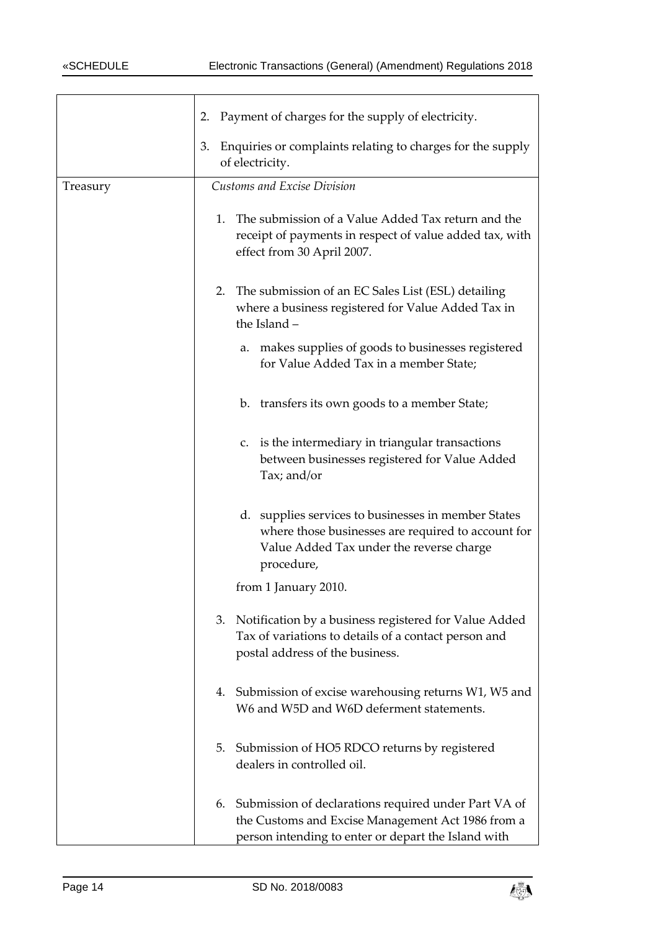|          | Payment of charges for the supply of electricity.<br>2.                                                                                                             |
|----------|---------------------------------------------------------------------------------------------------------------------------------------------------------------------|
|          | Enquiries or complaints relating to charges for the supply<br>3.                                                                                                    |
|          | of electricity.                                                                                                                                                     |
| Treasury | <b>Customs and Excise Division</b>                                                                                                                                  |
|          | The submission of a Value Added Tax return and the<br>1.<br>receipt of payments in respect of value added tax, with<br>effect from 30 April 2007.                   |
|          | The submission of an EC Sales List (ESL) detailing<br>2.<br>where a business registered for Value Added Tax in<br>the Island -                                      |
|          | a. makes supplies of goods to businesses registered<br>for Value Added Tax in a member State;                                                                       |
|          | b. transfers its own goods to a member State;                                                                                                                       |
|          | c. is the intermediary in triangular transactions<br>between businesses registered for Value Added<br>Tax; and/or                                                   |
|          | d. supplies services to businesses in member States<br>where those businesses are required to account for<br>Value Added Tax under the reverse charge<br>procedure, |
|          | from 1 January 2010.                                                                                                                                                |
|          | 3. Notification by a business registered for Value Added<br>Tax of variations to details of a contact person and<br>postal address of the business.                 |
|          | 4. Submission of excise warehousing returns W1, W5 and<br>W6 and W5D and W6D deferment statements.                                                                  |
|          | Submission of HO5 RDCO returns by registered<br>5.<br>dealers in controlled oil.                                                                                    |
|          | 6. Submission of declarations required under Part VA of<br>the Customs and Excise Management Act 1986 from a<br>person intending to enter or depart the Island with |